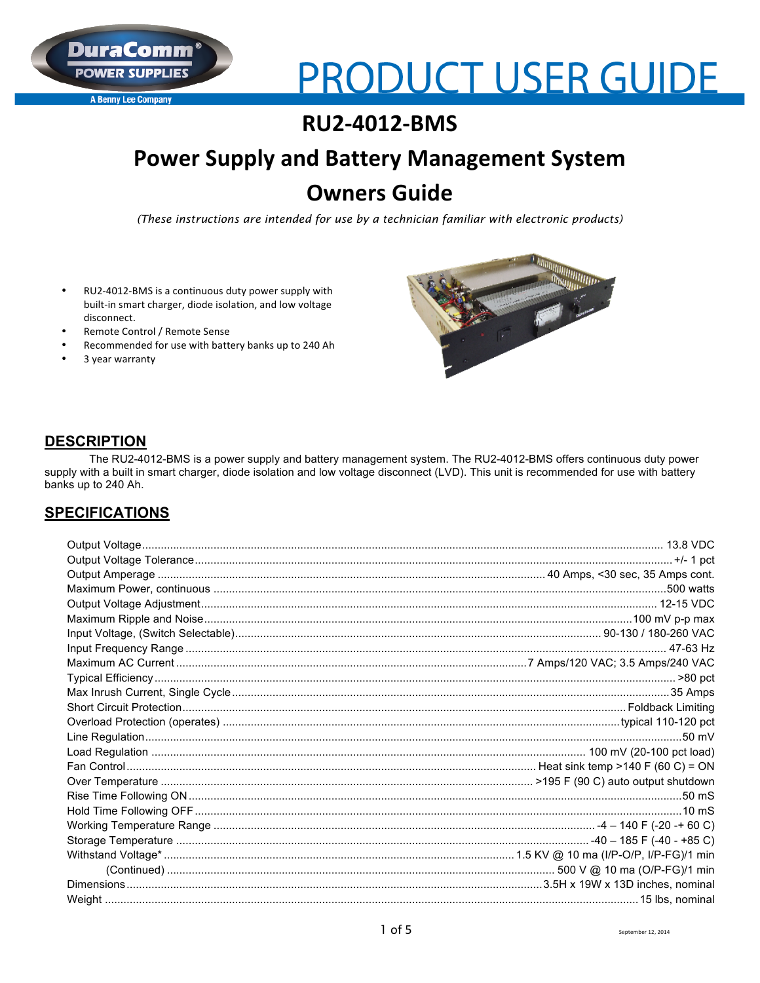**A Benny Lee Company** 

# **PRODUCT USER GUIDE**

# **RU2-4012-BMS**

# **Power Supply and Battery Management System Owners Guide**

(These instructions are intended for use by a technician familiar with electronic products)

- RU2-4012-BMS is a continuous duty power supply with built-in smart charger, diode isolation, and low voltage disconnect.
- Remote Control / Remote Sense
- Recommended for use with battery banks up to 240 Ah
- 3 year warranty



## **DESCRIPTION**

The RU2-4012-BMS is a power supply and battery management system. The RU2-4012-BMS offers continuous duty power supply with a built in smart charger, diode isolation and low voltage disconnect (LVD). This unit is recommended for use with battery banks up to 240 Ah.

## **SPECIFICATIONS**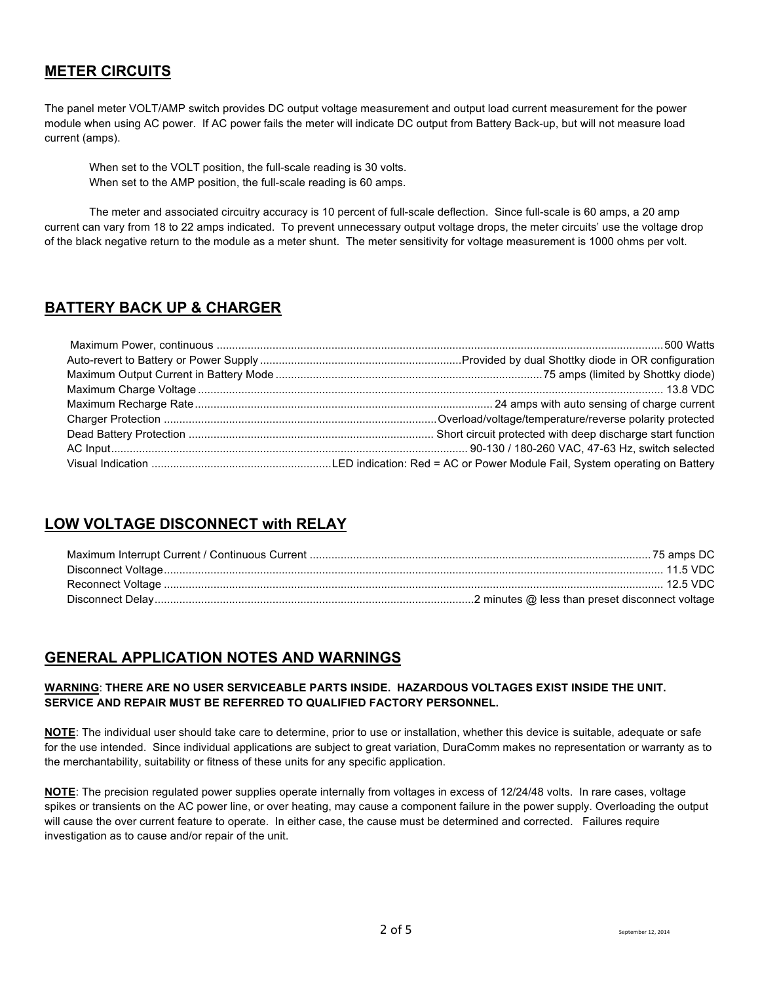## **METER CIRCUITS**

The panel meter VOLT/AMP switch provides DC output voltage measurement and output load current measurement for the power module when using AC power. If AC power fails the meter will indicate DC output from Battery Back-up, but will not measure load current (amps).

When set to the VOLT position, the full-scale reading is 30 volts. When set to the AMP position, the full-scale reading is 60 amps.

The meter and associated circuitry accuracy is 10 percent of full-scale deflection. Since full-scale is 60 amps, a 20 amp current can vary from 18 to 22 amps indicated. To prevent unnecessary output voltage drops, the meter circuits' use the voltage drop of the black negative return to the module as a meter shunt. The meter sensitivity for voltage measurement is 1000 ohms per volt.

## **BATTERY BACK UP & CHARGER**

## **LOW VOLTAGE DISCONNECT with RELAY**

## **GENERAL APPLICATION NOTES AND WARNINGS**

#### **WARNING**: **THERE ARE NO USER SERVICEABLE PARTS INSIDE. HAZARDOUS VOLTAGES EXIST INSIDE THE UNIT. SERVICE AND REPAIR MUST BE REFERRED TO QUALIFIED FACTORY PERSONNEL.**

**NOTE**: The individual user should take care to determine, prior to use or installation, whether this device is suitable, adequate or safe for the use intended. Since individual applications are subject to great variation, DuraComm makes no representation or warranty as to the merchantability, suitability or fitness of these units for any specific application.

**NOTE**: The precision regulated power supplies operate internally from voltages in excess of 12/24/48 volts. In rare cases, voltage spikes or transients on the AC power line, or over heating, may cause a component failure in the power supply. Overloading the output will cause the over current feature to operate. In either case, the cause must be determined and corrected. Failures require investigation as to cause and/or repair of the unit.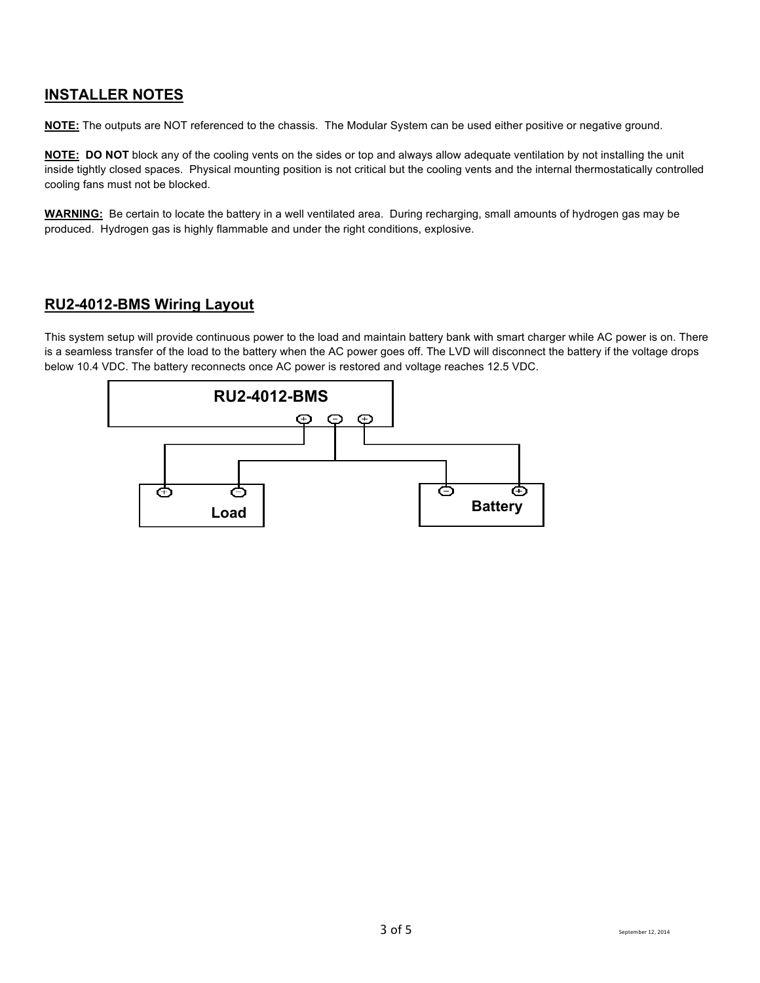## **INSTALLER NOTES**

**NOTE:** The outputs are NOT referenced to the chassis. The Modular System can be used either positive or negative ground.

**NOTE: DO NOT** block any of the cooling vents on the sides or top and always allow adequate ventilation by not installing the unit inside tightly closed spaces. Physical mounting position is not critical but the cooling vents and the internal thermostatically controlled cooling fans must not be blocked.

**WARNING:** Be certain to locate the battery in a well ventilated area. During recharging, small amounts of hydrogen gas may be produced. Hydrogen gas is highly flammable and under the right conditions, explosive.

## **RU2-4012-BMS Wiring Layout**

This system setup will provide continuous power to the load and maintain battery bank with smart charger while AC power is on. There is a seamless transfer of the load to the battery when the AC power goes off. The LVD will disconnect the battery if the voltage drops below 10.4 VDC. The battery reconnects once AC power is restored and voltage reaches 12.5 VDC.

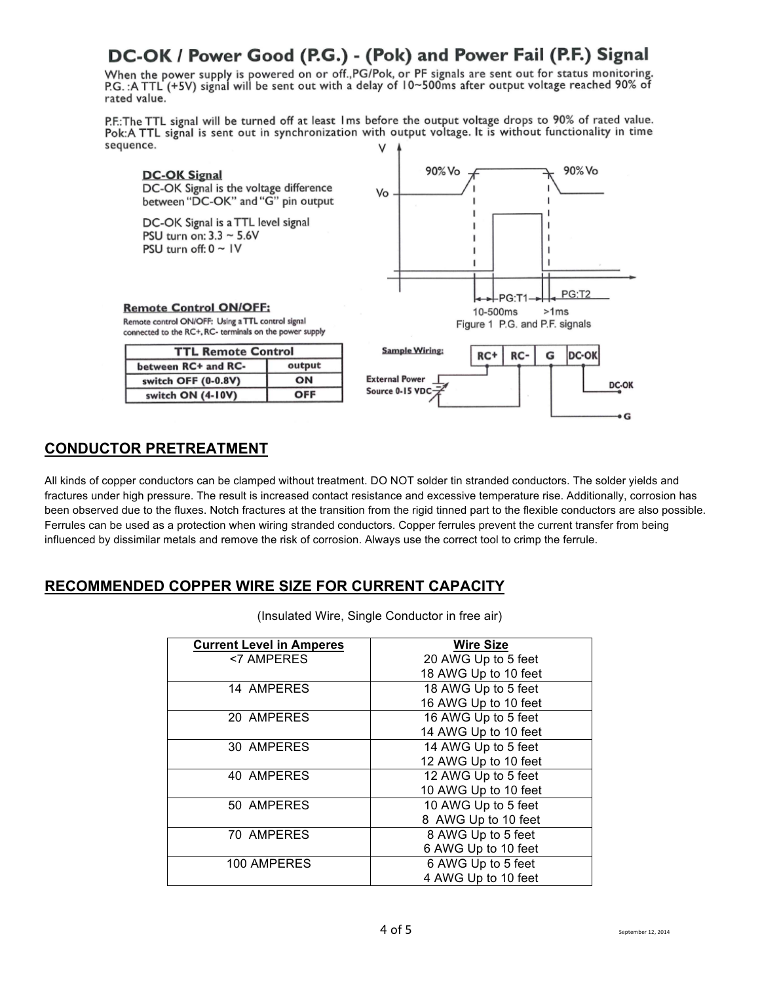## DC-OK / Power Good (P.G.) - (Pok) and Power Fail (P.F.) Signal

When the power supply is powered on or off., PG/Pok, or PF signals are sent out for status monitoring. P.G.: A TTL (+5V) signal will be sent out with a delay of 10~500ms after output voltage reached 90% of rated value.

P.F.: The TTL signal will be turned off at least Ims before the output voltage drops to 90% of rated value. Pok:A TTL signal is sent out in synchronization with output voltage. It is without functionality in time sequence. V



### **CONDUCTOR PRETREATMENT**

All kinds of copper conductors can be clamped without treatment. DO NOT solder tin stranded conductors. The solder yields and fractures under high pressure. The result is increased contact resistance and excessive temperature rise. Additionally, corrosion has been observed due to the fluxes. Notch fractures at the transition from the rigid tinned part to the flexible conductors are also possible. Ferrules can be used as a protection when wiring stranded conductors. Copper ferrules prevent the current transfer from being influenced by dissimilar metals and remove the risk of corrosion. Always use the correct tool to crimp the ferrule.

## **RECOMMENDED COPPER WIRE SIZE FOR CURRENT CAPACITY**

(Insulated Wire, Single Conductor in free air)

| <b>Current Level in Amperes</b> | <b>Wire Size</b>     |
|---------------------------------|----------------------|
| <7 AMPERES                      | 20 AWG Up to 5 feet  |
|                                 | 18 AWG Up to 10 feet |
| 14 AMPERES                      | 18 AWG Up to 5 feet  |
|                                 | 16 AWG Up to 10 feet |
| 20 AMPERES                      | 16 AWG Up to 5 feet  |
|                                 | 14 AWG Up to 10 feet |
| 30 AMPERES                      | 14 AWG Up to 5 feet  |
|                                 | 12 AWG Up to 10 feet |
| 40 AMPERES                      | 12 AWG Up to 5 feet  |
|                                 | 10 AWG Up to 10 feet |
| 50 AMPERES                      | 10 AWG Up to 5 feet  |
|                                 | 8 AWG Up to 10 feet  |
| 70 AMPERES                      | 8 AWG Up to 5 feet   |
|                                 | 6 AWG Up to 10 feet  |
| 100 AMPERES                     | 6 AWG Up to 5 feet   |
|                                 | 4 AWG Up to 10 feet  |